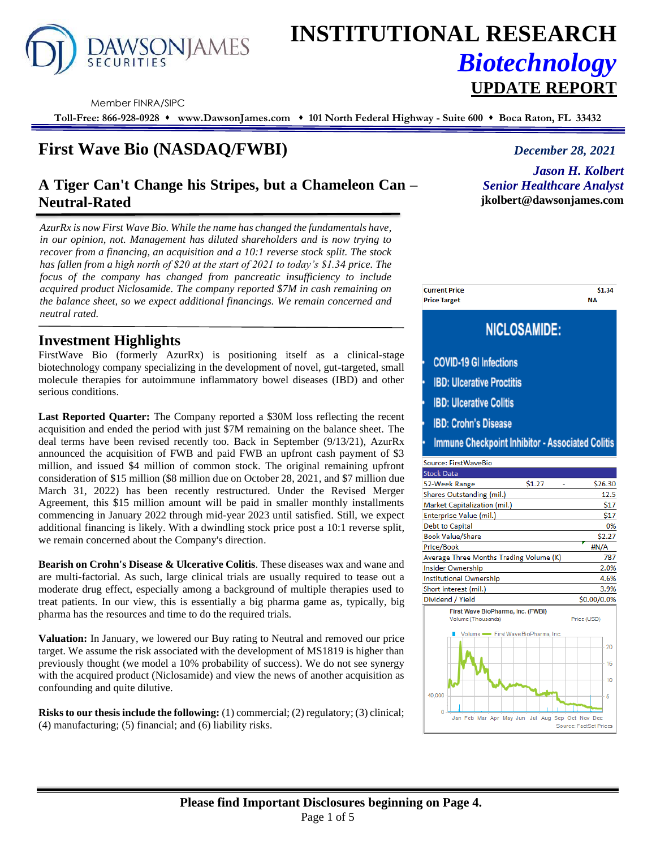

# **INSTITUTIONAL RESEARCH** *Biotechnology*

Member FINRA/SIPC

**Toll-Free: 866-928-0928** ⬧ **www.DawsonJames.com** ⬧ **101 North Federal Highway - Suite 600** ⬧ **Boca Raton, FL 33432**

# **First Wave Bio (NASDAQ/FWBI)** *December 28, 2021*

# **A Tiger Can't Change his Stripes, but a Chameleon Can – Neutral-Rated**

*AzurRx is now First Wave Bio. While the name has changed the fundamentals have, in our opinion, not. Management has diluted shareholders and is now trying to recover from a financing, an acquisition and a 10:1 reverse stock split. The stock has fallen from a high north of \$20 at the start of 2021 to today's \$1.34 price. The focus of the company has changed from pancreatic insufficiency to include acquired product Niclosamide. The company reported \$7M in cash remaining on the balance sheet, so we expect additional financings. We remain concerned and neutral rated.*

# **Investment Highlights**

FirstWave Bio (formerly AzurRx) is positioning itself as a clinical-stage biotechnology company specializing in the development of novel, gut-targeted, small molecule therapies for autoimmune inflammatory bowel diseases (IBD) and other serious conditions.

**Last Reported Quarter:** The Company reported a \$30M loss reflecting the recent acquisition and ended the period with just \$7M remaining on the balance sheet. The deal terms have been revised recently too. Back in September (9/13/21), AzurRx announced the acquisition of FWB and paid FWB an upfront cash payment of \$3 million, and issued \$4 million of common stock. The original remaining upfront consideration of \$15 million (\$8 million due on October 28, 2021, and \$7 million due March 31, 2022) has been recently restructured. Under the Revised Merger Agreement, this \$15 million amount will be paid in smaller monthly installments commencing in January 2022 through mid-year 2023 until satisfied. Still, we expect additional financing is likely. With a dwindling stock price post a 10:1 reverse split, we remain concerned about the Company's direction.

**Bearish on Crohn's Disease & Ulcerative Colitis**. These diseases wax and wane and are multi-factorial. As such, large clinical trials are usually required to tease out a moderate drug effect, especially among a background of multiple therapies used to treat patients. In our view, this is essentially a big pharma game as, typically, big pharma has the resources and time to do the required trials.

**Valuation:** In January, we lowered our Buy rating to Neutral and removed our price target. We assume the risk associated with the development of MS1819 is higher than previously thought (we model a 10% probability of success). We do not see synergy with the acquired product (Niclosamide) and view the news of another acquisition as confounding and quite dilutive.

**Risks to our thesis include the following:** (1) commercial; (2) regulatory; (3) clinical; (4) manufacturing; (5) financial; and (6) liability risks.

*Jason H. Kolbert Senior Healthcare Analyst* **jkolbert@dawsonjames.com**

\$1.34

**NA** 

**UPDATE REPORT**

# **NICLOSAMIDE:**

**COVID-19 GI Infections** 

**Current Price** 

**Price Target** 

- **IBD: Ulcerative Proctitis**
- **IBD: Ulcerative Colitis**
- **IBD: Crohn's Disease**

**Immune Checkpoint Inhibitor - Associated Colitis** 

| Source: FirstWaveBio                                                   |             |  |  |  |  |
|------------------------------------------------------------------------|-------------|--|--|--|--|
| <b>Stock Data</b>                                                      |             |  |  |  |  |
| \$1.27<br>52-Week Range                                                | \$26.30     |  |  |  |  |
| Shares Outstanding (mil.)                                              | 12.5        |  |  |  |  |
| Market Capitalization (mil.)                                           | \$17        |  |  |  |  |
| Enterprise Value (mil.)                                                | \$17        |  |  |  |  |
| <b>Debt to Capital</b>                                                 | 0%          |  |  |  |  |
| <b>Book Value/Share</b>                                                | \$2.27      |  |  |  |  |
| Price/Book                                                             | #N/A        |  |  |  |  |
| Average Three Months Trading Volume (K)                                | 787         |  |  |  |  |
| Insider Ownership                                                      | 2.0%        |  |  |  |  |
| <b>Institutional Ownership</b>                                         | 4.6%        |  |  |  |  |
| Short interest (mil.)                                                  | 3.9%        |  |  |  |  |
| Dividend / Yield                                                       | \$0.00/0.0% |  |  |  |  |
| First Wave BioPharma, Inc. (FWBI)<br>Volume (Thousands)<br>Price (USD) |             |  |  |  |  |
|                                                                        |             |  |  |  |  |
| Volume - First Wave BioPharma, Inc.                                    |             |  |  |  |  |
|                                                                        |             |  |  |  |  |
|                                                                        | 20          |  |  |  |  |
|                                                                        | 15          |  |  |  |  |
|                                                                        | 10          |  |  |  |  |
|                                                                        |             |  |  |  |  |
| 40.000                                                                 | 5           |  |  |  |  |
| n<br>Jan Feb Mar Apr May Jun Jul Aug Sep Oct Nov Dec                   |             |  |  |  |  |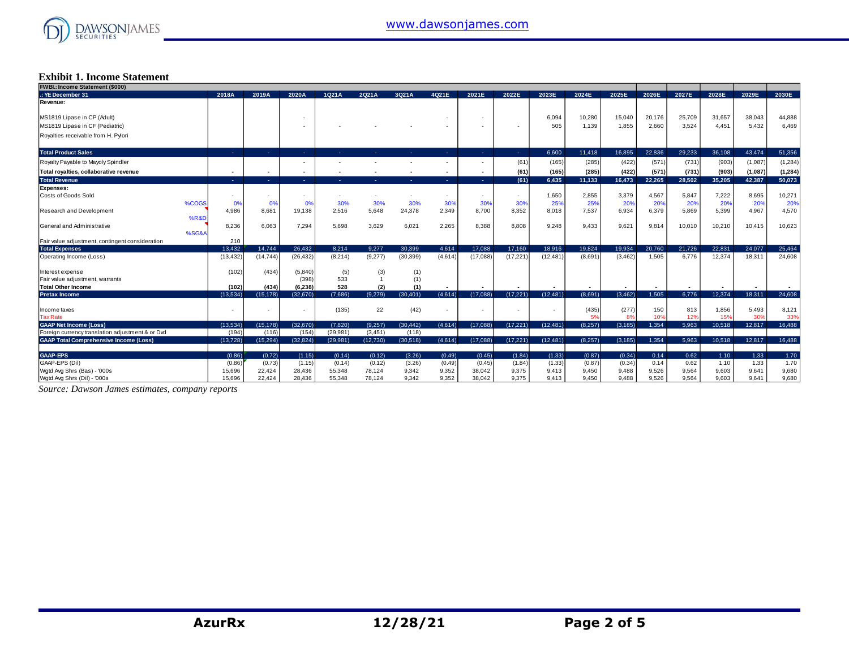

#### **Exhibit 1. Income Statement**

| FWBI.: Income Statement (\$000)                                                   |                   |                    |                   |                      |                     |                    |                 |                |                |           |         |          |        |        |        |         |          |
|-----------------------------------------------------------------------------------|-------------------|--------------------|-------------------|----------------------|---------------------|--------------------|-----------------|----------------|----------------|-----------|---------|----------|--------|--------|--------|---------|----------|
| .: YE December 31                                                                 | 2018A             | 2019A              | 2020A             | 1021A                | 2Q21A               | 3021A              | 4021E           | 2021E          | 2022E          | 2023E     | 2024E   | 2025E    | 2026E  | 2027E  | 2028E  | 2029E   | 2030E    |
| Revenue:                                                                          |                   |                    |                   |                      |                     |                    |                 |                |                |           |         |          |        |        |        |         |          |
| MS1819 Lipase in CP (Adult)                                                       |                   |                    |                   |                      |                     |                    |                 | <b>1999</b>    |                | 6,094     | 10,280  | 15,040   | 20,176 | 25,709 | 31.657 | 38,043  | 44,888   |
| MS1819 Lipase in CF (Pediatric)                                                   |                   |                    |                   |                      |                     |                    |                 |                |                | 505       | 1,139   | 1,855    | 2,660  | 3,524  | 4.451  | 5,432   | 6,469    |
| Royalties receivable from H. Pylori                                               |                   |                    |                   |                      |                     |                    |                 |                |                |           |         |          |        |        |        |         |          |
| <b>Total Product Sales</b>                                                        | and the           | <b>Section</b>     | . .               |                      |                     |                    | <b>Section</b>  | . н.           | <b>Section</b> | 6.600     | 11.418  | 16,895   | 22.836 | 29,233 | 36,108 | 43.474  | 51,356   |
| Royalty Payable to Mayoly Spindler                                                |                   |                    |                   |                      |                     |                    |                 |                | (61)           | (165)     | (285)   | (422)    | (571)  | (731)  | (903)  | (1,087) | (1, 284) |
| Total royalties, collaborative revenue                                            |                   |                    |                   |                      |                     |                    |                 |                | (61            | (165)     | (285)   | (422)    | (571)  | (731)  | (903)  | (1,087) | (1, 284) |
| <b>Total Revenue</b>                                                              | in 1              | in 1               | <b>Section</b>    |                      |                     |                    | <b>Section</b>  | <b>Section</b> | (61)           | 6,435     | 11,133  | 16,473   | 22,265 | 28,502 | 35.205 | 42.387  | 50,073   |
| Expenses:                                                                         |                   |                    |                   |                      |                     |                    |                 |                |                |           |         |          |        |        |        |         |          |
| Costs of Goods Sold                                                               |                   |                    |                   |                      |                     | . .                | <b>Contract</b> |                |                | 1,650     | 2,855   | 3,379    | 4,567  | 5,847  | 7,222  | 8,695   | 10,271   |
| %COGS                                                                             | 0%                | 0%                 | 0%                | 30%                  | 30%                 | 30%                | 30%             | 30%            | 30%            | 25%       | 25%     | 20%      | 20%    | 20%    | 20%    | 20%     | 20%      |
| <b>Research and Development</b>                                                   | 4,986             | 8,681              | 19,138            | 2,516                | 5,648               | 24,378             | 2,349           | 8,700          | 8,352          | 8,018     | 7,537   | 6,934    | 6,379  | 5,869  | 5,399  | 4,967   | 4,570    |
| <b>%R&amp;D</b>                                                                   |                   |                    |                   |                      |                     |                    |                 |                |                |           |         |          |        |        |        |         |          |
| General and Administrative<br>%SG&A                                               | 8,236             | 6,063              | 7,294             | 5,698                | 3,629               | 6,021              | 2,265           | 8,388          | 8,808          | 9,248     | 9,433   | 9,621    | 9,814  | 10,010 | 10,210 | 10,415  | 10,623   |
| Fair value adjustment, contingent consideration                                   | 210               |                    |                   |                      |                     |                    |                 |                |                |           |         |          |        |        |        |         |          |
| <b>Total Expenses</b>                                                             | 13,432            | 14,744             | 26,432            | 8.214                | 9.277               | 30.399             | 4,614           | 17.088         | 17,160         | 18,916    | 19,824  | 19.934   | 20,760 | 21,726 | 22.831 | 24.077  | 25,464   |
| Operating Income (Loss)                                                           | (13, 432)         | (14, 744)          | (26, 432)         | (8, 214)             | (9,277)             | (30, 399)          | (4,614)         | (17,088)       | (17, 221)      | (12, 481) | (8,691) | (3, 462) | 1.505  | 6.776  | 12.374 | 18.311  | 24,608   |
|                                                                                   |                   |                    |                   |                      |                     |                    |                 |                |                |           |         |          |        |        |        |         |          |
| Interest expense                                                                  | (102)             | (434)              | (5,840)           | (5)                  | (3)                 | (1)                |                 |                |                |           |         |          |        |        |        |         |          |
| Fair value adjustment, warrants                                                   |                   |                    | (398)             | 533                  |                     | (1)                |                 |                |                |           |         |          |        |        |        |         |          |
| Total Other Income                                                                | (102)             | (434)              | (6, 238)          | 528                  | (2)                 | (1)                |                 |                |                |           |         |          |        |        |        |         |          |
| <b>Pretax Income</b>                                                              | (13.534)          | (15, 178)          | (32,670)          | (7,686)              | (9.279)             | (30.401)           | (4,614)         | (17,088)       | (17, 221)      | (12, 481) | (8,691) | (3, 462) | 1,505  | 6,776  | 12,374 | 18,311  | 24,608   |
|                                                                                   |                   |                    |                   |                      |                     |                    |                 |                |                |           |         |          |        |        |        |         |          |
| Income taxes                                                                      |                   |                    |                   | (135)                | 22                  | (42)               |                 |                |                |           | (435)   | (277)    | 150    | 813    | 1,856  | 5,493   | 8,121    |
| <b>Tax Rate</b>                                                                   |                   |                    |                   |                      |                     |                    |                 |                |                |           | 5%      | 8%       | 10%    | 12%    | 15%    | 30%     | 339      |
| <b>GAAP Net Income (Loss)</b><br>Foreign currency translation adjustment & or Dvd | (13,534)<br>(194) | (15, 178)<br>(116) | (32,670)<br>(154) | (7,820)<br>(29, 981) | (9.257)<br>(3, 451) | (30, 442)<br>(118) | (4,614)         | (17,088)       | (17, 221)      | (12, 481) | (8,257) | (3, 185) | 1,354  | 5,963  | 10,518 | 12,817  | 16,488   |
| <b>GAAP Total Comprehensive Income (Loss)</b>                                     | (13, 728)         | (15, 294)          | (32.824)          | (29, 981)            | (12,730)            | (30,518)           | (4,614)         | (17,088)       | (17, 221)      | (12, 481) | (8.257) | (3, 185) | 1.354  | 5.963  | 10.518 | 12.817  | 16,488   |
|                                                                                   |                   |                    |                   |                      |                     |                    |                 |                |                |           |         |          |        |        |        |         |          |
| <b>GAAP-EPS</b>                                                                   | (0.86)            | (0.72)             | (1.15)            | (0.14)               | (0.12)              | (3.26)             | (0.49)          | (0.45)         | (1.84)         | (1.33)    | (0.87)  | (0.34)   | 0.14   | 0.62   | 1.10   | 1.33    | 1.70     |
| GAAP-EPS (Dil)                                                                    | (0.86)            | (0.73)             | (1.15)            | (0.14)               | (0.12)              | (3.26)             | (0.49)          | (0.45)         | (1.84)         | (1.33)    | (0.87)  | (0.34)   | 0.14   | 0.62   | 1.10   | 1.33    | 1.70     |
| Wgtd Avg Shrs (Bas) - '000s                                                       | 15.696            | 22,424             | 28.436            | 55.348               | 78.124              | 9.342              | 9,352           | 38,042         | 9.375          | 9,413     | 9.450   | 9,488    | 9,526  | 9,564  | 9.603  | 9.641   | 9,680    |
| Wgtd Avg Shrs (Dil) - '000s                                                       | 15,696            | 22,424             | 28,436            | 55,348               | 78,124              | 9,342              | 9,352           | 38,042         | 9,375          | 9,413     | 9,450   | 9,488    | 9,526  | 9,564  | 9.603  | 9,641   | 9,680    |

*Source: Dawson James estimates, company reports*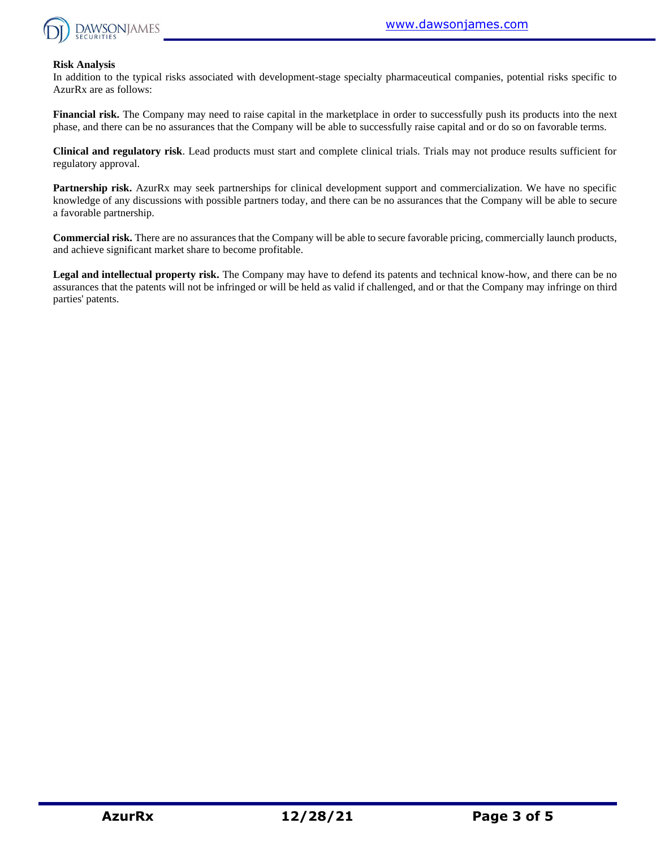

#### **Risk Analysis**

In addition to the typical risks associated with development-stage specialty pharmaceutical companies, potential risks specific to AzurRx are as follows:

**Financial risk.** The Company may need to raise capital in the marketplace in order to successfully push its products into the next phase, and there can be no assurances that the Company will be able to successfully raise capital and or do so on favorable terms.

**Clinical and regulatory risk**. Lead products must start and complete clinical trials. Trials may not produce results sufficient for regulatory approval.

**Partnership risk.** AzurRx may seek partnerships for clinical development support and commercialization. We have no specific knowledge of any discussions with possible partners today, and there can be no assurances that the Company will be able to secure a favorable partnership.

**Commercial risk.** There are no assurances that the Company will be able to secure favorable pricing, commercially launch products, and achieve significant market share to become profitable.

**Legal and intellectual property risk.** The Company may have to defend its patents and technical know-how, and there can be no assurances that the patents will not be infringed or will be held as valid if challenged, and or that the Company may infringe on third parties' patents.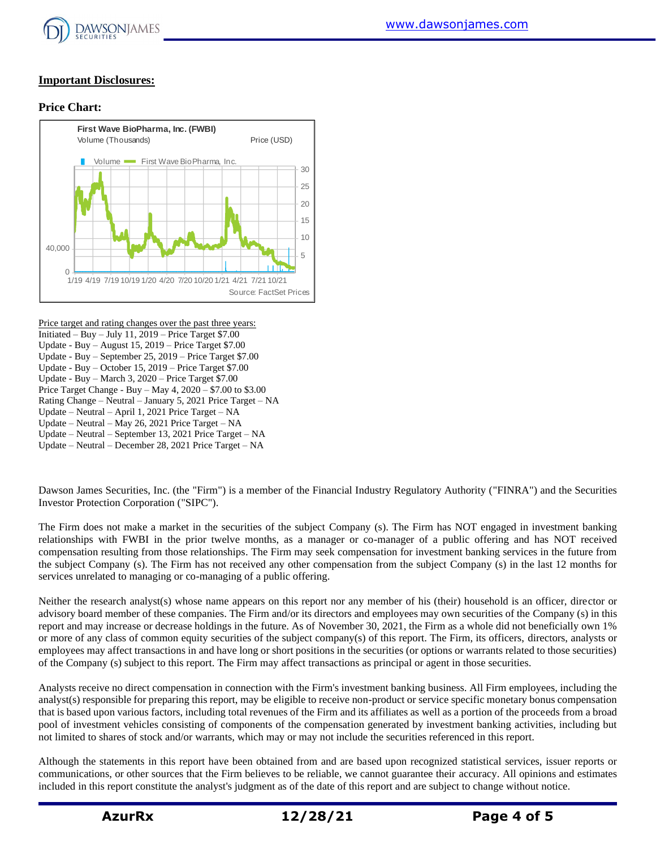

### **Important Disclosures:**

### **Price Chart:**



Price target and rating changes over the past three years: Initiated – Buy – July 11,  $2019$  – Price Target \$7.00 Update - Buy – August 15, 2019 – Price Target \$7.00 Update - Buy – September 25, 2019 – Price Target \$7.00 Update - Buy – October 15, 2019 – Price Target \$7.00 Update - Buy – March 3, 2020 – Price Target \$7.00 Price Target Change - Buy – May 4, 2020 – \$7.00 to \$3.00 Rating Change – Neutral – January 5, 2021 Price Target – NA Update – Neutral – April 1, 2021 Price Target – NA Update – Neutral – May 26, 2021 Price Target – NA Update – Neutral – September 13, 2021 Price Target – NA Update – Neutral – December 28, 2021 Price Target – NA

Dawson James Securities, Inc. (the "Firm") is a member of the Financial Industry Regulatory Authority ("FINRA") and the Securities Investor Protection Corporation ("SIPC").

The Firm does not make a market in the securities of the subject Company (s). The Firm has NOT engaged in investment banking relationships with FWBI in the prior twelve months, as a manager or co-manager of a public offering and has NOT received compensation resulting from those relationships. The Firm may seek compensation for investment banking services in the future from the subject Company (s). The Firm has not received any other compensation from the subject Company (s) in the last 12 months for services unrelated to managing or co-managing of a public offering.

Neither the research analyst(s) whose name appears on this report nor any member of his (their) household is an officer, director or advisory board member of these companies. The Firm and/or its directors and employees may own securities of the Company (s) in this report and may increase or decrease holdings in the future. As of November 30, 2021, the Firm as a whole did not beneficially own 1% or more of any class of common equity securities of the subject company(s) of this report. The Firm, its officers, directors, analysts or employees may affect transactions in and have long or short positions in the securities (or options or warrants related to those securities) of the Company (s) subject to this report. The Firm may affect transactions as principal or agent in those securities.

Analysts receive no direct compensation in connection with the Firm's investment banking business. All Firm employees, including the analyst(s) responsible for preparing this report, may be eligible to receive non-product or service specific monetary bonus compensation that is based upon various factors, including total revenues of the Firm and its affiliates as well as a portion of the proceeds from a broad pool of investment vehicles consisting of components of the compensation generated by investment banking activities, including but not limited to shares of stock and/or warrants, which may or may not include the securities referenced in this report.

Although the statements in this report have been obtained from and are based upon recognized statistical services, issuer reports or communications, or other sources that the Firm believes to be reliable, we cannot guarantee their accuracy. All opinions and estimates included in this report constitute the analyst's judgment as of the date of this report and are subject to change without notice.